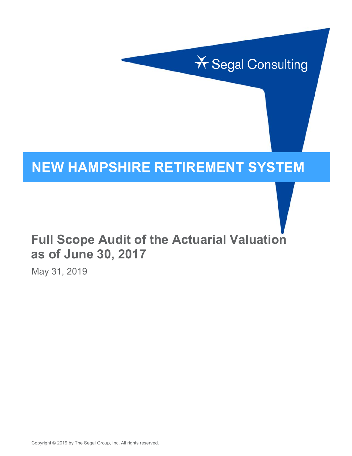

# **NEW HAMPSHIRE RETIREMENT SYSTEM**

# **Full Scope Audit of the Actuarial Valuation as of June 30, 2017**

May 31, 2019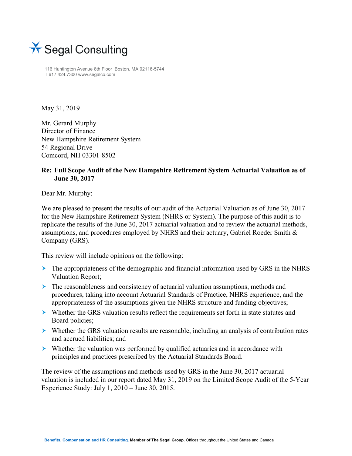

116 Huntington Avenue 8th Floor Boston, MA 02116-5744 T 617.424.7300 www.segalco.com

May 31, 2019

Mr. Gerard Murphy Director of Finance New Hampshire Retirement System 54 Regional Drive Comcord, NH 03301-8502

#### **Re: Full Scope Audit of the New Hampshire Retirement System Actuarial Valuation as of June 30, 2017**

Dear Mr. Murphy:

We are pleased to present the results of our audit of the Actuarial Valuation as of June 30, 2017 for the New Hampshire Retirement System (NHRS or System). The purpose of this audit is to replicate the results of the June 30, 2017 actuarial valuation and to review the actuarial methods, assumptions, and procedures employed by NHRS and their actuary, Gabriel Roeder Smith & Company (GRS).

This review will include opinions on the following:

- The appropriateness of the demographic and financial information used by GRS in the NHRS Valuation Report;
- $\geq$  The reasonableness and consistency of actuarial valuation assumptions, methods and procedures, taking into account Actuarial Standards of Practice, NHRS experience, and the appropriateness of the assumptions given the NHRS structure and funding objectives;
- Whether the GRS valuation results reflect the requirements set forth in state statutes and Board policies;
- $\triangleright$  Whether the GRS valuation results are reasonable, including an analysis of contribution rates and accrued liabilities; and
- Whether the valuation was performed by qualified actuaries and in accordance with principles and practices prescribed by the Actuarial Standards Board.

The review of the assumptions and methods used by GRS in the June 30, 2017 actuarial valuation is included in our report dated May 31, 2019 on the Limited Scope Audit of the 5-Year Experience Study: July 1, 2010 – June 30, 2015.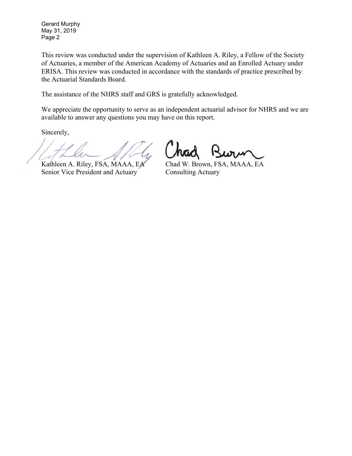Gerard Murphy May 31, 2019 Page 2

This review was conducted under the supervision of Kathleen A. Riley, a Fellow of the Society of Actuaries, a member of the American Academy of Actuaries and an Enrolled Actuary under ERISA. This review was conducted in accordance with the standards of practice prescribed by the Actuarial Standards Board.

The assistance of the NHRS staff and GRS is gratefully acknowledged.

We appreciate the opportunity to serve as an independent actuarial advisor for NHRS and we are available to answer any questions you may have on this report.

Sincerely,

Senior Vice President and Actuary Consulting Actuary

Kathleen A. Riley, FSA, MAAA, EA Chad W. Brown, FSA, MAAA, EA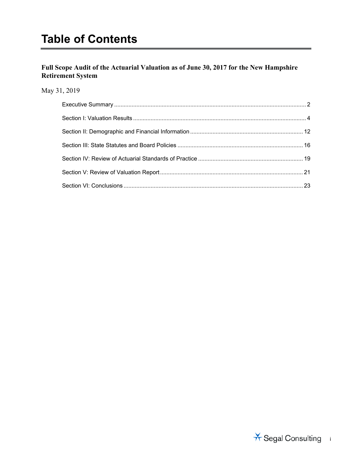#### **Full Scope Audit of the Actuarial Valuation as of June 30, 2017 for the New Hampshire Retirement System**

#### May 31, 2019

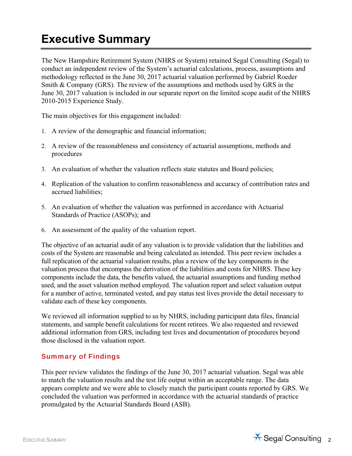## **Executive Summary**

The New Hampshire Retirement System (NHRS or System) retained Segal Consulting (Segal) to conduct an independent review of the System's actuarial calculations, process, assumptions and methodology reflected in the June 30, 2017 actuarial valuation performed by Gabriel Roeder Smith & Company (GRS). The review of the assumptions and methods used by GRS in the June 30, 2017 valuation is included in our separate report on the limited scope audit of the NHRS 2010-2015 Experience Study.

The main objectives for this engagement included:

- 1. A review of the demographic and financial information;
- 2. A review of the reasonableness and consistency of actuarial assumptions, methods and procedures
- 3. An evaluation of whether the valuation reflects state statutes and Board policies;
- 4. Replication of the valuation to confirm reasonableness and accuracy of contribution rates and accrued liabilities;
- 5. An evaluation of whether the valuation was performed in accordance with Actuarial Standards of Practice (ASOPs); and
- 6. An assessment of the quality of the valuation report.

The objective of an actuarial audit of any valuation is to provide validation that the liabilities and costs of the System are reasonable and being calculated as intended. This peer review includes a full replication of the actuarial valuation results, plus a review of the key components in the valuation process that encompass the derivation of the liabilities and costs for NHRS. These key components include the data, the benefits valued, the actuarial assumptions and funding method used, and the asset valuation method employed. The valuation report and select valuation output for a number of active, terminated vested, and pay status test lives provide the detail necessary to validate each of these key components.

We reviewed all information supplied to us by NHRS, including participant data files, financial statements, and sample benefit calculations for recent retirees. We also requested and reviewed additional information from GRS, including test lives and documentation of procedures beyond those disclosed in the valuation report.

#### Summary of Findings

This peer review validates the findings of the June 30, 2017 actuarial valuation. Segal was able to match the valuation results and the test life output within an acceptable range. The data appears complete and we were able to closely match the participant counts reported by GRS. We concluded the valuation was performed in accordance with the actuarial standards of practice promulgated by the Actuarial Standards Board (ASB).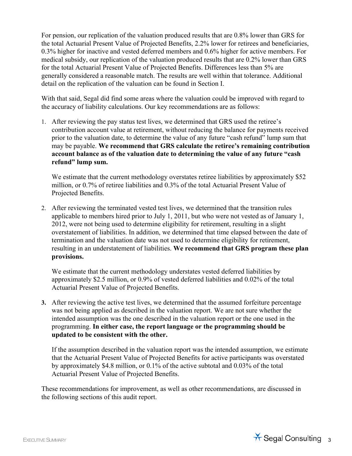For pension, our replication of the valuation produced results that are 0.8% lower than GRS for the total Actuarial Present Value of Projected Benefits, 2.2% lower for retirees and beneficiaries, 0.3% higher for inactive and vested deferred members and 0.6% higher for active members. For medical subsidy, our replication of the valuation produced results that are 0.2% lower than GRS for the total Actuarial Present Value of Projected Benefits. Differences less than 5% are generally considered a reasonable match. The results are well within that tolerance. Additional detail on the replication of the valuation can be found in Section I.

With that said, Segal did find some areas where the valuation could be improved with regard to the accuracy of liability calculations. Our key recommendations are as follows:

1. After reviewing the pay status test lives, we determined that GRS used the retiree's contribution account value at retirement, without reducing the balance for payments received prior to the valuation date, to determine the value of any future "cash refund" lump sum that may be payable. **We recommend that GRS calculate the retiree's remaining contribution account balance as of the valuation date to determining the value of any future "cash refund" lump sum.**

We estimate that the current methodology overstates retiree liabilities by approximately \$52 million, or 0.7% of retiree liabilities and 0.3% of the total Actuarial Present Value of Projected Benefits.

2. After reviewing the terminated vested test lives, we determined that the transition rules applicable to members hired prior to July 1, 2011, but who were not vested as of January 1, 2012, were not being used to determine eligibility for retirement, resulting in a slight overstatement of liabilities. In addition, we determined that time elapsed between the date of termination and the valuation date was not used to determine eligibility for retirement, resulting in an understatement of liabilities. **We recommend that GRS program these plan provisions.**

We estimate that the current methodology understates vested deferred liabilities by approximately \$2.5 million, or 0.9% of vested deferred liabilities and 0.02% of the total Actuarial Present Value of Projected Benefits.

**3.** After reviewing the active test lives, we determined that the assumed forfeiture percentage was not being applied as described in the valuation report. We are not sure whether the intended assumption was the one described in the valuation report or the one used in the programming. **In either case, the report language or the programming should be updated to be consistent with the other.** 

If the assumption described in the valuation report was the intended assumption, we estimate that the Actuarial Present Value of Projected Benefits for active participants was overstated by approximately \$4.8 million, or 0.1% of the active subtotal and 0.03% of the total Actuarial Present Value of Projected Benefits.

These recommendations for improvement, as well as other recommendations, are discussed in the following sections of this audit report.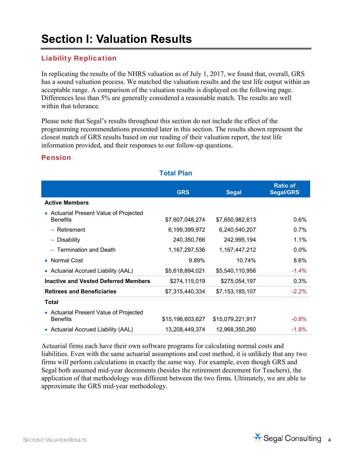## **Section I: Valuation Results**

#### Liability Replication

In replicating the results of the NHRS valuation as of July 1, 2017, we found that, overall, GRS has a sound valuation process. We matched the valuation results and the test life output within an acceptable range. A comparison of the valuation results is displayed on the following page. Differences less than 5% are generally considered a reasonable match. The results are well within that tolerance.

Please note that Segal's results throughout this section do not include the effect of the programming recommendations presented later in this section. The results shown represent the closest match of GRS results based on our reading of their valuation report, the test life information provided, and their responses to our follow-up questions.

#### Pension

|                                                           | <b>GRS</b>       | <b>Segal</b>     | <b>Ratio of</b><br><b>Segal/GRS</b> |
|-----------------------------------------------------------|------------------|------------------|-------------------------------------|
| <b>Active Members</b>                                     |                  |                  |                                     |
| • Actuarial Present Value of Projected<br><b>Benefits</b> | \$7,607,048,274  | \$7,650,982,613  | $0.6\%$                             |
| - Retirement                                              | 6,199,399,972    | 6,240,540,207    | 0.7%                                |
| - Disability                                              | 240,350,766      | 242,995,194      | 1.1%                                |
| - Termination and Death                                   | 1,167,297,536    | 1,167,447,212    | 0.0%                                |
| • Normal Cost                                             | 9.89%            | 10.74%           | 8.6%                                |
| • Actuarial Accrued Liability (AAL)                       | \$5,618,894,021  | \$5,540,110,956  | $-1.4\%$                            |
| <b>Inactive and Vested Deferred Members</b>               | \$274,115,019    | \$275,054,197    | 0.3%                                |
| <b>Retirees and Beneficiaries</b>                         | \$7,315,440,334  | \$7,153,185,107  | $-2.2%$                             |
| <b>Total</b>                                              |                  |                  |                                     |
| • Actuarial Present Value of Projected<br><b>Benefits</b> | \$15,196,603,627 | \$15,079,221,917 | $-0.8%$                             |
| • Actuarial Accrued Liability (AAL)                       | 13,208,449,374   | 12,968,350,260   | $-1.8%$                             |

#### **Total Plan**

Actuarial firms each have their own software programs for calculating normal costs and liabilities. Even with the same actuarial assumptions and cost method, it is unlikely that any two firms will perform calculations in exactly the same way. For example, even though GRS and Segal both assumed mid-year decrements (besides the retirement decrement for Teachers), the application of that methodology was different between the two firms. Ultimately, we are able to approximate the GRS mid-year methodology.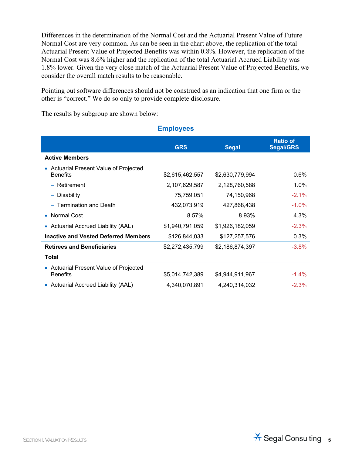Differences in the determination of the Normal Cost and the Actuarial Present Value of Future Normal Cost are very common. As can be seen in the chart above, the replication of the total Actuarial Present Value of Projected Benefits was within 0.8%. However, the replication of the Normal Cost was 8.6% higher and the replication of the total Actuarial Accrued Liability was 1.8% lower. Given the very close match of the Actuarial Present Value of Projected Benefits, we consider the overall match results to be reasonable.

Pointing out software differences should not be construed as an indication that one firm or the other is "correct." We do so only to provide complete disclosure.

**Employees** 

The results by subgroup are shown below:

|                                                           | p.c.,           |                 |                                     |
|-----------------------------------------------------------|-----------------|-----------------|-------------------------------------|
|                                                           | <b>GRS</b>      | <b>Segal</b>    | <b>Ratio of</b><br><b>Segal/GRS</b> |
| <b>Active Members</b>                                     |                 |                 |                                     |
| Actuarial Present Value of Projected<br><b>Benefits</b>   | \$2,615,462,557 | \$2,630,779,994 | 0.6%                                |
| - Retirement                                              | 2,107,629,587   | 2,128,760,588   | $1.0\%$                             |
| - Disability                                              | 75,759,051      | 74,150,968      | $-2.1\%$                            |
| - Termination and Death                                   | 432,073,919     | 427,868,438     | $-1.0\%$                            |
| Normal Cost                                               | 8.57%           | 8.93%           | 4.3%                                |
| <b>Actuarial Accrued Liability (AAL)</b>                  | \$1,940,791,059 | \$1,926,182,059 | $-2.3%$                             |
| <b>Inactive and Vested Deferred Members</b>               | \$126,844,033   | \$127,257,576   | 0.3%                                |
| <b>Retirees and Beneficiaries</b>                         | \$2,272,435,799 | \$2,186,874,397 | $-3.8\%$                            |
| Total                                                     |                 |                 |                                     |
| • Actuarial Present Value of Projected<br><b>Benefits</b> | \$5,014,742,389 | \$4,944,911,967 | $-1.4%$                             |
| • Actuarial Accrued Liability (AAL)                       | 4,340,070,891   | 4,240,314,032   | $-2.3%$                             |
|                                                           |                 |                 |                                     |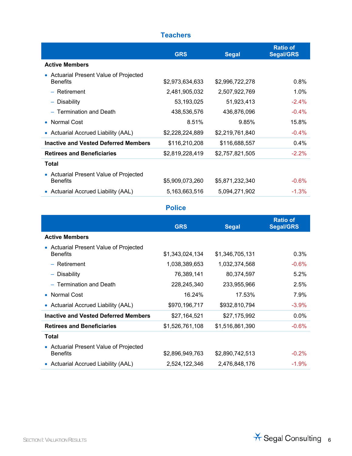### **Teachers**

|                                                                      | <b>GRS</b>      | <b>Segal</b>    | <b>Ratio of</b><br><b>Segal/GRS</b> |
|----------------------------------------------------------------------|-----------------|-----------------|-------------------------------------|
| <b>Active Members</b>                                                |                 |                 |                                     |
| Actuarial Present Value of Projected<br>$\bullet$<br><b>Benefits</b> | \$2,973,634,633 | \$2,996,722,278 | $0.8\%$                             |
| - Retirement                                                         | 2,481,905,032   | 2,507,922,769   | $1.0\%$                             |
| - Disability                                                         | 53,193,025      | 51,923,413      | $-2.4%$                             |
| - Termination and Death                                              | 438,536,576     | 436,876,096     | $-0.4%$                             |
| Normal Cost<br>$\bullet$                                             | 8.51%           | 9.85%           | 15.8%                               |
| • Actuarial Accrued Liability (AAL)                                  | \$2,228,224,889 | \$2,219,761,840 | $-0.4%$                             |
| <b>Inactive and Vested Deferred Members</b>                          | \$116,210,208   | \$116,688,557   | $0.4\%$                             |
| <b>Retirees and Beneficiaries</b>                                    | \$2,819,228,419 | \$2,757,821,505 | $-2.2\%$                            |
| Total                                                                |                 |                 |                                     |
| • Actuarial Present Value of Projected<br><b>Benefits</b>            | \$5,909,073,260 | \$5,871,232,340 | $-0.6%$                             |
| • Actuarial Accrued Liability (AAL)                                  | 5,163,663,516   | 5,094,271,902   | $-1.3%$                             |

#### **Police**

|                                                           | <b>GRS</b>      | <b>Segal</b>    | <b>Ratio of</b><br><b>Segal/GRS</b> |
|-----------------------------------------------------------|-----------------|-----------------|-------------------------------------|
| <b>Active Members</b>                                     |                 |                 |                                     |
| • Actuarial Present Value of Projected<br><b>Benefits</b> | \$1,343,024,134 | \$1,346,705,131 | 0.3%                                |
| - Retirement                                              | 1,038,389,653   | 1,032,374,568   | $-0.6%$                             |
| - Disability                                              | 76,389,141      | 80,374,597      | 5.2%                                |
| - Termination and Death                                   | 228,245,340     | 233,955,966     | 2.5%                                |
| • Normal Cost                                             | 16.24%          | 17.53%          | 7.9%                                |
| • Actuarial Accrued Liability (AAL)                       | \$970,196,717   | \$932,810,794   | $-3.9\%$                            |
| <b>Inactive and Vested Deferred Members</b>               | \$27,164,521    | \$27,175,992    | $0.0\%$                             |
| <b>Retirees and Beneficiaries</b>                         | \$1,526,761,108 | \$1,516,861,390 | $-0.6\%$                            |
| Total                                                     |                 |                 |                                     |
| • Actuarial Present Value of Projected<br><b>Benefits</b> | \$2,896,949,763 | \$2,890,742,513 | $-0.2%$                             |
| • Actuarial Accrued Liability (AAL)                       | 2,524,122,346   | 2,476,848,176   | $-1.9%$                             |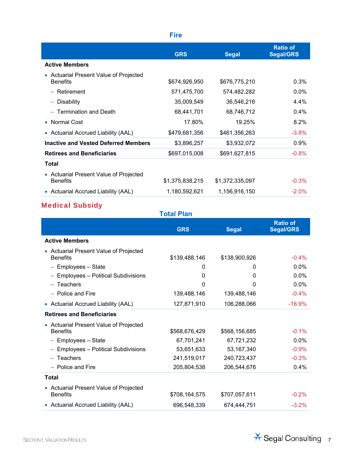|                                                           | <b>Fire</b>     |                 |                                     |
|-----------------------------------------------------------|-----------------|-----------------|-------------------------------------|
|                                                           | <b>GRS</b>      | <b>Segal</b>    | <b>Ratio of</b><br><b>Segal/GRS</b> |
| <b>Active Members</b>                                     |                 |                 |                                     |
| • Actuarial Present Value of Projected<br><b>Benefits</b> | \$674,926,950   | \$676,775,210   | 0.3%                                |
| - Retirement                                              | 571,475,700     | 574,482,282     | $0.0\%$                             |
| - Disability                                              | 35,009,549      | 36,546,216      | 4.4%                                |
| - Termination and Death                                   | 68,441,701      | 68,746,712      | $0.4\%$                             |
| Normal Cost<br>$\bullet$                                  | 17.80%          | 19.25%          | 8.2%                                |
| Actuarial Accrued Liability (AAL)<br>$\bullet$            | \$479,681,356   | \$461,356,263   | $-3.8%$                             |
| <b>Inactive and Vested Deferred Members</b>               | \$3,896,257     | \$3,932,072     | 0.9%                                |
| <b>Retirees and Beneficiaries</b>                         | \$697,015,008   | \$691,627,815   | $-0.8%$                             |
| Total                                                     |                 |                 |                                     |
| • Actuarial Present Value of Projected<br><b>Benefits</b> | \$1,375,838,215 | \$1,372,335,097 | $-0.3%$                             |
| • Actuarial Accrued Liability (AAL)                       | 1,180,592,621   | 1,156,916,150   | $-2.0\%$                            |

## Medical Subsidy

|                                                           | <b>Total Plan</b> |               |                                     |
|-----------------------------------------------------------|-------------------|---------------|-------------------------------------|
|                                                           | <b>GRS</b>        | <b>Segal</b>  | <b>Ratio of</b><br><b>Segal/GRS</b> |
| <b>Active Members</b>                                     |                   |               |                                     |
| • Actuarial Present Value of Projected<br><b>Benefits</b> | \$139,488,146     | \$138,900,926 | $-0.4%$                             |
| - Employees - State                                       | 0                 | 0             | 0.0%                                |
| - Employees - Political Subdivisions                      | 0                 | 0             | 0.0%                                |
| $-$ Teachers                                              | 0                 | 0             | 0.0%                                |
| - Police and Fire                                         | 139,488,146       | 139,488,146   | $-0.4%$                             |
| • Actuarial Accrued Liability (AAL)                       | 127,871,910       | 106,288,066   | $-16.9%$                            |
| <b>Retirees and Beneficiaries</b>                         |                   |               |                                     |
| • Actuarial Present Value of Projected<br><b>Benefits</b> | \$568,676,429     | \$568,156,685 | $-0.1%$                             |
| $-$ Employees $-$ State                                   | 67,701,241        | 67,721,232    | $0.0\%$                             |
| - Employees - Political Subdivisions                      | 53,651,633        | 53, 167, 340  | $-0.9%$                             |
| $-$ Teachers                                              | 241,519,017       | 240,723,437   | $-0.3%$                             |
| - Police and Fire                                         | 205,804,538       | 206,544,676   | 0.4%                                |
| Total                                                     |                   |               |                                     |
| • Actuarial Present Value of Projected<br><b>Benefits</b> | \$708,164,575     | \$707,057,611 | $-0.2%$                             |
| • Actuarial Accrued Liability (AAL)                       | 696,548,339       | 674,444,751   | $-3.2%$                             |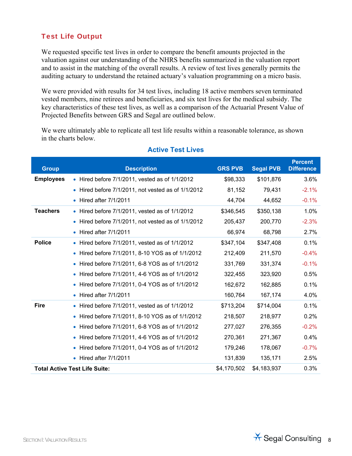### Test Life Output

We requested specific test lives in order to compare the benefit amounts projected in the valuation against our understanding of the NHRS benefits summarized in the valuation report and to assist in the matching of the overall results. A review of test lives generally permits the auditing actuary to understand the retained actuary's valuation programming on a micro basis.

We were provided with results for 34 test lives, including 18 active members seven terminated vested members, nine retirees and beneficiaries, and six test lives for the medical subsidy. The key characteristics of these test lives, as well as a comparison of the Actuarial Present Value of Projected Benefits between GRS and Segal are outlined below.

We were ultimately able to replicate all test life results within a reasonable tolerance, as shown in the charts below.

| <b>Group</b>     | <b>Description</b>                                            | <b>GRS PVB</b> | <b>Segal PVB</b> | <b>Percent</b><br><b>Difference</b> |
|------------------|---------------------------------------------------------------|----------------|------------------|-------------------------------------|
| <b>Employees</b> | $\bullet$ Hired before 7/1/2011, vested as of 1/1/2012        | \$98,333       | \$101,876        | 3.6%                                |
|                  | Hired before 7/1/2011, not vested as of 1/1/2012<br>$\bullet$ | 81,152         | 79,431           | $-2.1%$                             |
|                  | $\bullet$ Hired after $7/1/2011$                              | 44,704         | 44,652           | $-0.1%$                             |
| <b>Teachers</b>  | $\bullet$ Hired before 7/1/2011, vested as of 1/1/2012        | \$346,545      | \$350,138        | 1.0%                                |
|                  | • Hired before 7/1/2011, not vested as of 1/1/2012            | 205,437        | 200,770          | $-2.3%$                             |
|                  | $\bullet$ Hired after $7/1/2011$                              | 66,974         | 68,798           | 2.7%                                |
| <b>Police</b>    | • Hired before 7/1/2011, vested as of 1/1/2012                | \$347,104      | \$347,408        | 0.1%                                |
|                  | • Hired before 7/1/2011, 8-10 YOS as of 1/1/2012              | 212,409        | 211,570          | $-0.4%$                             |
|                  | • Hired before 7/1/2011, 6-8 YOS as of 1/1/2012               | 331,769        | 331,374          | $-0.1%$                             |
|                  | • Hired before 7/1/2011, 4-6 YOS as of 1/1/2012               | 322,455        | 323,920          | 0.5%                                |
|                  | • Hired before 7/1/2011, 0-4 YOS as of 1/1/2012               | 162,672        | 162,885          | 0.1%                                |
|                  | $\bullet$ Hired after $7/1/2011$                              | 160,764        | 167,174          | 4.0%                                |
| <b>Fire</b>      | $\bullet$ Hired before 7/1/2011, vested as of 1/1/2012        | \$713,204      | \$714,004        | 0.1%                                |
|                  | • Hired before 7/1/2011, 8-10 YOS as of 1/1/2012              | 218,507        | 218,977          | 0.2%                                |
|                  | • Hired before 7/1/2011, 6-8 YOS as of 1/1/2012               | 277,027        | 276,355          | $-0.2%$                             |
|                  | • Hired before 7/1/2011, 4-6 YOS as of 1/1/2012               | 270,361        | 271,367          | 0.4%                                |
|                  | • Hired before 7/1/2011, 0-4 YOS as of 1/1/2012               | 179,246        | 178,067          | $-0.7%$                             |
|                  | $\bullet$ Hired after $7/1/2011$                              | 131,839        | 135,171          | 2.5%                                |
|                  | <b>Total Active Test Life Suite:</b>                          | \$4,170,502    | \$4,183,937      | 0.3%                                |

#### **Active Test Lives**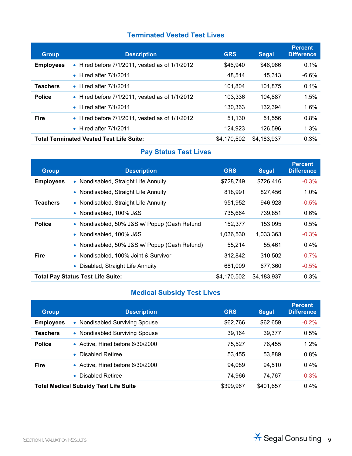### **Terminated Vested Test Lives**

| <b>Group</b>     | <b>Description</b>                                     | <b>GRS</b>  | <b>Segal</b> | <b>Percent</b><br><b>Difference</b> |
|------------------|--------------------------------------------------------|-------------|--------------|-------------------------------------|
| <b>Employees</b> | • Hired before $7/1/2011$ , vested as of $1/1/2012$    | \$46,940    | \$46,966     | 0.1%                                |
|                  | $\bullet$ Hired after $7/1/2011$                       | 48,514      | 45,313       | $-6.6%$                             |
| <b>Teachers</b>  | $\bullet$ Hired after 7/1/2011                         | 101.804     | 101.875      | 0.1%                                |
| <b>Police</b>    | $\bullet$ Hired before 7/1/2011, vested as of 1/1/2012 | 103,336     | 104,887      | 1.5%                                |
|                  | $\bullet$ Hired after 7/1/2011                         | 130,363     | 132,394      | 1.6%                                |
| <b>Fire</b>      | $\bullet$ Hired before 7/1/2011, vested as of 1/1/2012 | 51,130      | 51,556       | 0.8%                                |
|                  | $\bullet$ Hired after 7/1/2011                         | 124,923     | 126,596      | 1.3%                                |
|                  | <b>Total Terminated Vested Test Life Suite:</b>        | \$4,170,502 | \$4,183,937  | 0.3%                                |

### **Pay Status Test Lives**

| <b>Group</b>     | <b>Description</b>                            | <b>GRS</b>  | <b>Segal</b> | <b>Percent</b><br><b>Difference</b> |
|------------------|-----------------------------------------------|-------------|--------------|-------------------------------------|
| <b>Employees</b> | • Nondisabled, Straight Life Annuity          | \$728,749   | \$726,416    | $-0.3%$                             |
|                  | • Nondisabled, Straight Life Annuity          | 818,991     | 827,456      | 1.0%                                |
| <b>Teachers</b>  | • Nondisabled, Straight Life Annuity          | 951,952     | 946,928      | $-0.5%$                             |
|                  | • Nondisabled, 100% J&S                       | 735,664     | 739,851      | 0.6%                                |
| <b>Police</b>    | • Nondisabled, 50% J&S w/ Popup (Cash Refund  | 152,377     | 153,095      | 0.5%                                |
|                  | • Nondisabled, 100% J&S                       | 1,036,530   | 1,033,363    | $-0.3%$                             |
|                  | • Nondisabled, 50% J&S w/ Popup (Cash Refund) | 55,214      | 55.461       | 0.4%                                |
| <b>Fire</b>      | • Nondisabled, 100% Joint & Survivor          | 312,842     | 310.502      | $-0.7%$                             |
|                  | Disabled, Straight Life Annuity               | 681,009     | 677,360      | $-0.5%$                             |
|                  | <b>Total Pay Status Test Life Suite:</b>      | \$4,170,502 | \$4,183,937  | 0.3%                                |

### **Medical Subsidy Test Lives**

| <b>Group</b>     | <b>Description</b>                           | <b>GRS</b> | <b>Segal</b> | <b>Percent</b><br><b>Difference</b> |
|------------------|----------------------------------------------|------------|--------------|-------------------------------------|
| <b>Employees</b> | • Nondisabled Surviving Spouse               | \$62,766   | \$62,659     | $-0.2%$                             |
| <b>Teachers</b>  | • Nondisabled Surviving Spouse               | 39.164     | 39,377       | 0.5%                                |
| <b>Police</b>    | • Active, Hired before 6/30/2000             | 75.527     | 76.455       | 1.2%                                |
|                  | • Disabled Retiree                           | 53,455     | 53,889       | 0.8%                                |
| <b>Fire</b>      | • Active, Hired before 6/30/2000             | 94.089     | 94,510       | 0.4%                                |
|                  | <b>Disabled Retiree</b>                      | 74,966     | 74,767       | $-0.3%$                             |
|                  | <b>Total Medical Subsidy Test Life Suite</b> | \$399,967  | \$401.657    | 0.4%                                |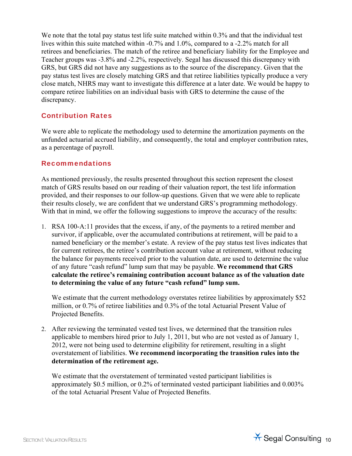We note that the total pay status test life suite matched within 0.3% and that the individual test lives within this suite matched within -0.7% and 1.0%, compared to a -2.2% match for all retirees and beneficiaries. The match of the retiree and beneficiary liability for the Employee and Teacher groups was -3.8% and -2.2%, respectively. Segal has discussed this discrepancy with GRS, but GRS did not have any suggestions as to the source of the discrepancy. Given that the pay status test lives are closely matching GRS and that retiree liabilities typically produce a very close match, NHRS may want to investigate this difference at a later date. We would be happy to compare retiree liabilities on an individual basis with GRS to determine the cause of the discrepancy.

#### Contribution Rates

We were able to replicate the methodology used to determine the amortization payments on the unfunded actuarial accrued liability, and consequently, the total and employer contribution rates, as a percentage of payroll.

#### Recommendations

As mentioned previously, the results presented throughout this section represent the closest match of GRS results based on our reading of their valuation report, the test life information provided, and their responses to our follow-up questions. Given that we were able to replicate their results closely, we are confident that we understand GRS's programming methodology. With that in mind, we offer the following suggestions to improve the accuracy of the results:

1. RSA 100-A:11 provides that the excess, if any, of the payments to a retired member and survivor, if applicable, over the accumulated contributions at retirement, will be paid to a named beneficiary or the member's estate. A review of the pay status test lives indicates that for current retirees, the retiree's contribution account value at retirement, without reducing the balance for payments received prior to the valuation date, are used to determine the value of any future "cash refund" lump sum that may be payable. **We recommend that GRS calculate the retiree's remaining contribution account balance as of the valuation date to determining the value of any future "cash refund" lump sum.**

We estimate that the current methodology overstates retiree liabilities by approximately \$52 million, or 0.7% of retiree liabilities and 0.3% of the total Actuarial Present Value of Projected Benefits.

2. After reviewing the terminated vested test lives, we determined that the transition rules applicable to members hired prior to July 1, 2011, but who are not vested as of January 1, 2012, were not being used to determine eligibility for retirement, resulting in a slight overstatement of liabilities. **We recommend incorporating the transition rules into the determination of the retirement age.**

We estimate that the overstatement of terminated vested participant liabilities is approximately \$0.5 million, or 0.2% of terminated vested participant liabilities and 0.003% of the total Actuarial Present Value of Projected Benefits.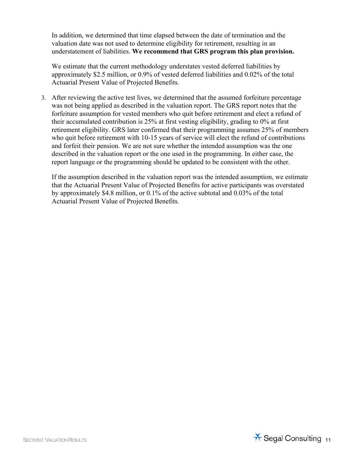In addition, we determined that time elapsed between the date of termination and the valuation date was not used to determine eligibility for retirement, resulting in an understatement of liabilities. **We recommend that GRS program this plan provision.**

We estimate that the current methodology understates vested deferred liabilities by approximately \$2.5 million, or 0.9% of vested deferred liabilities and 0.02% of the total Actuarial Present Value of Projected Benefits.

3. After reviewing the active test lives, we determined that the assumed forfeiture percentage was not being applied as described in the valuation report. The GRS report notes that the forfeiture assumption for vested members who quit before retirement and elect a refund of their accumulated contribution is 25% at first vesting eligibility, grading to 0% at first retirement eligibility. GRS later confirmed that their programming assumes 25% of members who quit before retirement with 10-15 years of service will elect the refund of contributions and forfeit their pension. We are not sure whether the intended assumption was the one described in the valuation report or the one used in the programming. In either case, the report language or the programming should be updated to be consistent with the other.

If the assumption described in the valuation report was the intended assumption, we estimate that the Actuarial Present Value of Projected Benefits for active participants was overstated by approximately \$4.8 million, or 0.1% of the active subtotal and 0.03% of the total Actuarial Present Value of Projected Benefits.

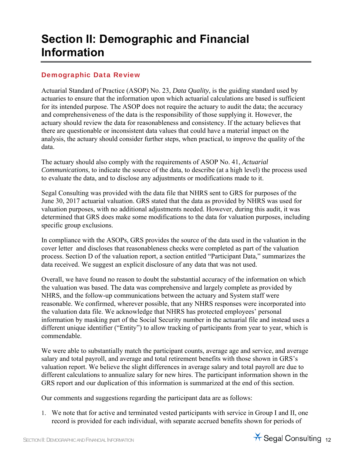## **Section II: Demographic and Financial Information**

#### Demographic Data Review

Actuarial Standard of Practice (ASOP) No. 23, *Data Quality*, is the guiding standard used by actuaries to ensure that the information upon which actuarial calculations are based is sufficient for its intended purpose. The ASOP does not require the actuary to audit the data; the accuracy and comprehensiveness of the data is the responsibility of those supplying it. However, the actuary should review the data for reasonableness and consistency. If the actuary believes that there are questionable or inconsistent data values that could have a material impact on the analysis, the actuary should consider further steps, when practical, to improve the quality of the data.

The actuary should also comply with the requirements of ASOP No. 41, *Actuarial Communications*, to indicate the source of the data, to describe (at a high level) the process used to evaluate the data, and to disclose any adjustments or modifications made to it.

Segal Consulting was provided with the data file that NHRS sent to GRS for purposes of the June 30, 2017 actuarial valuation. GRS stated that the data as provided by NHRS was used for valuation purposes, with no additional adjustments needed. However, during this audit, it was determined that GRS does make some modifications to the data for valuation purposes, including specific group exclusions.

In compliance with the ASOPs, GRS provides the source of the data used in the valuation in the cover letter and discloses that reasonableness checks were completed as part of the valuation process. Section D of the valuation report, a section entitled "Participant Data," summarizes the data received. We suggest an explicit disclosure of any data that was not used.

Overall, we have found no reason to doubt the substantial accuracy of the information on which the valuation was based. The data was comprehensive and largely complete as provided by NHRS, and the follow-up communications between the actuary and System staff were reasonable. We confirmed, wherever possible, that any NHRS responses were incorporated into the valuation data file. We acknowledge that NHRS has protected employees' personal information by masking part of the Social Security number in the actuarial file and instead uses a different unique identifier ("Entity") to allow tracking of participants from year to year, which is commendable.

We were able to substantially match the participant counts, average age and service, and average salary and total payroll, and average and total retirement benefits with those shown in GRS's valuation report. We believe the slight differences in average salary and total payroll are due to different calculations to annualize salary for new hires. The participant information shown in the GRS report and our duplication of this information is summarized at the end of this section.

Our comments and suggestions regarding the participant data are as follows:

1. We note that for active and terminated vested participants with service in Group I and II, one record is provided for each individual, with separate accrued benefits shown for periods of

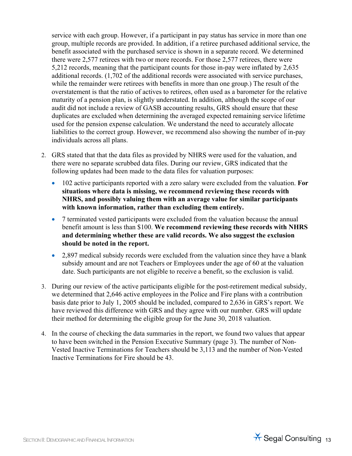service with each group. However, if a participant in pay status has service in more than one group, multiple records are provided. In addition, if a retiree purchased additional service, the benefit associated with the purchased service is shown in a separate record. We determined there were 2,577 retirees with two or more records. For those 2,577 retirees, there were 5,212 records, meaning that the participant counts for those in-pay were inflated by 2,635 additional records. (1,702 of the additional records were associated with service purchases, while the remainder were retirees with benefits in more than one group.) The result of the overstatement is that the ratio of actives to retirees, often used as a barometer for the relative maturity of a pension plan, is slightly understated. In addition, although the scope of our audit did not include a review of GASB accounting results, GRS should ensure that these duplicates are excluded when determining the averaged expected remaining service lifetime used for the pension expense calculation. We understand the need to accurately allocate liabilities to the correct group. However, we recommend also showing the number of in-pay individuals across all plans.

- 2. GRS stated that that the data files as provided by NHRS were used for the valuation, and there were no separate scrubbed data files. During our review, GRS indicated that the following updates had been made to the data files for valuation purposes:
	- 102 active participants reported with a zero salary were excluded from the valuation. **For situations where data is missing, we recommend reviewing these records with NHRS, and possibly valuing them with an average value for similar participants with known information, rather than excluding them entirely.**
	- 7 terminated vested participants were excluded from the valuation because the annual benefit amount is less than \$100. **We recommend reviewing these records with NHRS and determining whether these are valid records. We also suggest the exclusion should be noted in the report.**
	- 2,897 medical subsidy records were excluded from the valuation since they have a blank subsidy amount and are not Teachers or Employees under the age of 60 at the valuation date. Such participants are not eligible to receive a benefit, so the exclusion is valid.
- 3. During our review of the active participants eligible for the post-retirement medical subsidy, we determined that 2,646 active employees in the Police and Fire plans with a contribution basis date prior to July 1, 2005 should be included, compared to 2,636 in GRS's report. We have reviewed this difference with GRS and they agree with our number. GRS will update their method for determining the eligible group for the June 30, 2018 valuation.
- 4. In the course of checking the data summaries in the report, we found two values that appear to have been switched in the Pension Executive Summary (page 3). The number of Non-Vested Inactive Terminations for Teachers should be 3,113 and the number of Non-Vested Inactive Terminations for Fire should be 43.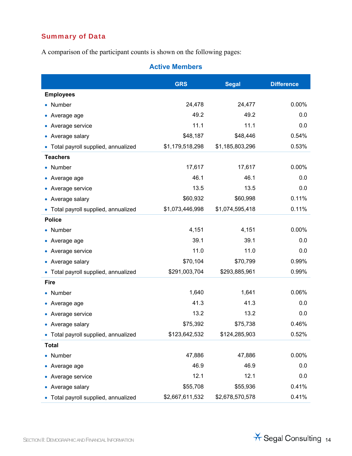### Summary of Data

A comparison of the participant counts is shown on the following pages:

### **Active Members**

|                                      | <b>GRS</b>      | <b>Segal</b>    | <b>Difference</b> |
|--------------------------------------|-----------------|-----------------|-------------------|
| <b>Employees</b>                     |                 |                 |                   |
| • Number                             | 24,478          | 24,477          | 0.00%             |
| • Average age                        | 49.2            | 49.2            | 0.0               |
| • Average service                    | 11.1            | 11.1            | 0.0               |
| • Average salary                     | \$48,187        | \$48,446        | 0.54%             |
| • Total payroll supplied, annualized | \$1,179,518,298 | \$1,185,803,296 | 0.53%             |
| <b>Teachers</b>                      |                 |                 |                   |
| • Number                             | 17,617          | 17,617          | 0.00%             |
| • Average age                        | 46.1            | 46.1            | 0.0               |
| • Average service                    | 13.5            | 13.5            | 0.0               |
| • Average salary                     | \$60,932        | \$60,998        | 0.11%             |
| • Total payroll supplied, annualized | \$1,073,446,998 | \$1,074,595,418 | 0.11%             |
| <b>Police</b>                        |                 |                 |                   |
| • Number                             | 4,151           | 4,151           | 0.00%             |
| • Average age                        | 39.1            | 39.1            | 0.0               |
| • Average service                    | 11.0            | 11.0            | 0.0               |
| • Average salary                     | \$70,104        | \$70,799        | 0.99%             |
| • Total payroll supplied, annualized | \$291,003,704   | \$293,885,961   | 0.99%             |
| <b>Fire</b>                          |                 |                 |                   |
| • Number                             | 1,640           | 1,641           | 0.06%             |
| • Average age                        | 41.3            | 41.3            | 0.0               |
| • Average service                    | 13.2            | 13.2            | 0.0               |
| • Average salary                     | \$75,392        | \$75,738        | 0.46%             |
| • Total payroll supplied, annualized | \$123,642,532   | \$124,285,903   | 0.52%             |
| <b>Total</b>                         |                 |                 |                   |
| • Number                             | 47,886          | 47,886          | 0.00%             |
| • Average age                        | 46.9            | 46.9            | 0.0               |
| • Average service                    | 12.1            | 12.1            | 0.0               |
| • Average salary                     | \$55,708        | \$55,936        | 0.41%             |
| • Total payroll supplied, annualized | \$2,667,611,532 | \$2,678,570,578 | 0.41%             |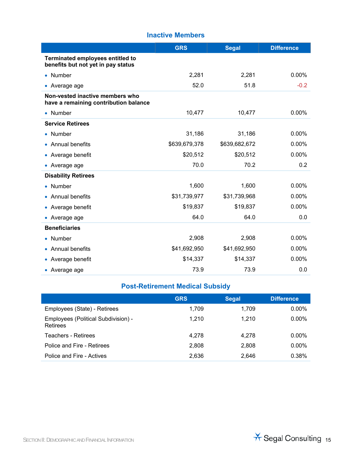#### **Inactive Members**

|                                                                               | <b>GRS</b>    | <b>Segal</b>  | <b>Difference</b> |
|-------------------------------------------------------------------------------|---------------|---------------|-------------------|
| <b>Terminated employees entitled to</b><br>benefits but not yet in pay status |               |               |                   |
| • Number                                                                      | 2,281         | 2,281         | 0.00%             |
| • Average age                                                                 | 52.0          | 51.8          | $-0.2$            |
| Non-vested inactive members who<br>have a remaining contribution balance      |               |               |                   |
| • Number                                                                      | 10,477        | 10,477        | 0.00%             |
| <b>Service Retirees</b>                                                       |               |               |                   |
| • Number                                                                      | 31,186        | 31,186        | 0.00%             |
| • Annual benefits                                                             | \$639,679,378 | \$639,682,672 | 0.00%             |
| • Average benefit                                                             | \$20,512      | \$20,512      | 0.00%             |
| • Average age                                                                 | 70.0          | 70.2          | 0.2               |
| <b>Disability Retirees</b>                                                    |               |               |                   |
| • Number                                                                      | 1,600         | 1,600         | 0.00%             |
| • Annual benefits                                                             | \$31,739,977  | \$31,739,968  | 0.00%             |
| • Average benefit                                                             | \$19,837      | \$19,837      | 0.00%             |
| • Average age                                                                 | 64.0          | 64.0          | 0.0               |
| <b>Beneficiaries</b>                                                          |               |               |                   |
| • Number                                                                      | 2,908         | 2,908         | 0.00%             |
| • Annual benefits                                                             | \$41,692,950  | \$41,692,950  | 0.00%             |
| • Average benefit                                                             | \$14,337      | \$14,337      | 0.00%             |
| • Average age                                                                 | 73.9          | 73.9          | 0.0               |

## **Post-Retirement Medical Subsidy**

|                                                 | <b>GRS</b> | <b>Segal</b> | <b>Difference</b> |
|-------------------------------------------------|------------|--------------|-------------------|
| Employees (State) - Retirees                    | 1.709      | 1.709        | $0.00\%$          |
| Employees (Political Subdivision) -<br>Retirees | 1.210      | 1.210        | $0.00\%$          |
| Teachers - Retirees                             | 4.278      | 4.278        | $0.00\%$          |
| Police and Fire - Retirees                      | 2,808      | 2.808        | $0.00\%$          |
| Police and Fire - Actives                       | 2,636      | 2.646        | 0.38%             |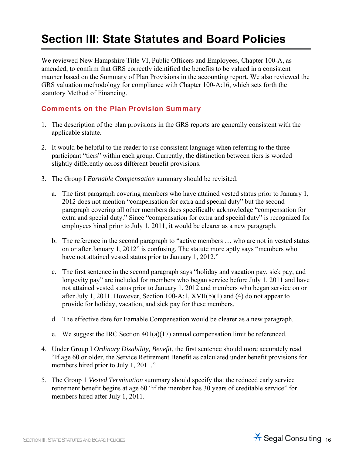## **Section III: State Statutes and Board Policies**

We reviewed New Hampshire Title VI, Public Officers and Employees, Chapter 100-A, as amended, to confirm that GRS correctly identified the benefits to be valued in a consistent manner based on the Summary of Plan Provisions in the accounting report. We also reviewed the GRS valuation methodology for compliance with Chapter 100-A:16, which sets forth the statutory Method of Financing.

#### Comments on the Plan Provision Summary

- 1. The description of the plan provisions in the GRS reports are generally consistent with the applicable statute.
- 2. It would be helpful to the reader to use consistent language when referring to the three participant "tiers" within each group. Currently, the distinction between tiers is worded slightly differently across different benefit provisions.
- 3. The Group I *Earnable Compensation* summary should be revisited.
	- a. The first paragraph covering members who have attained vested status prior to January 1, 2012 does not mention "compensation for extra and special duty" but the second paragraph covering all other members does specifically acknowledge "compensation for extra and special duty." Since "compensation for extra and special duty" is recognized for employees hired prior to July 1, 2011, it would be clearer as a new paragraph.
	- b. The reference in the second paragraph to "active members … who are not in vested status on or after January 1, 2012" is confusing. The statute more aptly says "members who have not attained vested status prior to January 1, 2012."
	- c. The first sentence in the second paragraph says "holiday and vacation pay, sick pay, and longevity pay" are included for members who began service before July 1, 2011 and have not attained vested status prior to January 1, 2012 and members who began service on or after July 1, 2011. However, Section 100-A:1, XVII(b)(1) and (4) do not appear to provide for holiday, vacation, and sick pay for these members.
	- d. The effective date for Earnable Compensation would be clearer as a new paragraph.
	- e. We suggest the IRC Section  $401(a)(17)$  annual compensation limit be referenced.
- 4. Under Group I *Ordinary Disability, Benefit*, the first sentence should more accurately read "If age 60 or older, the Service Retirement Benefit as calculated under benefit provisions for members hired prior to July 1, 2011."
- 5. The Group 1 *Vested Termination* summary should specify that the reduced early service retirement benefit begins at age 60 "if the member has 30 years of creditable service" for members hired after July 1, 2011.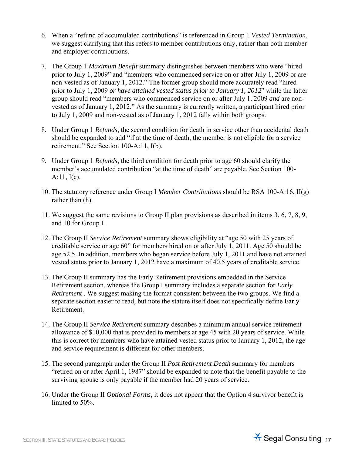- 6. When a "refund of accumulated contributions" is referenced in Group 1 *Vested Termination*, we suggest clarifying that this refers to member contributions only, rather than both member and employer contributions.
- 7. The Group 1 *Maximum Benefit* summary distinguishes between members who were "hired prior to July 1, 2009" and "members who commenced service on or after July 1, 2009 or are non-vested as of January 1, 2012." The former group should more accurately read "hired prior to July 1, 2009 *or have attained vested status prior to January 1, 2012*" while the latter group should read "members who commenced service on or after July 1, 2009 *and* are nonvested as of January 1, 2012." As the summary is currently written, a participant hired prior to July 1, 2009 and non-vested as of January 1, 2012 falls within both groups.
- 8. Under Group 1 *Refunds*, the second condition for death in service other than accidental death should be expanded to add "if at the time of death, the member is not eligible for a service retirement." See Section 100-A:11, I(b).
- 9. Under Group 1 *Refunds*, the third condition for death prior to age 60 should clarify the member's accumulated contribution "at the time of death" are payable. See Section 100-  $A:11, I(c)$ .
- 10. The statutory reference under Group I *Member Contributions* should be RSA 100-A:16, II(g) rather than (h).
- 11. We suggest the same revisions to Group II plan provisions as described in items 3, 6, 7, 8, 9, and 10 for Group I.
- 12. The Group II *Service Retirement* summary shows eligibility at "age 50 with 25 years of creditable service or age 60" for members hired on or after July 1, 2011. Age 50 should be age 52.5. In addition, members who began service before July 1, 2011 and have not attained vested status prior to January 1, 2012 have a maximum of 40.5 years of creditable service.
- 13. The Group II summary has the Early Retirement provisions embedded in the Service Retirement section, whereas the Group I summary includes a separate section for *Early Retirement* . We suggest making the format consistent between the two groups. We find a separate section easier to read, but note the statute itself does not specifically define Early Retirement.
- 14. The Group II *Service Retirement* summary describes a minimum annual service retirement allowance of \$10,000 that is provided to members at age 45 with 20 years of service. While this is correct for members who have attained vested status prior to January 1, 2012, the age and service requirement is different for other members.
- 15. The second paragraph under the Group II *Post Retirement Death* summary for members "retired on or after April 1, 1987" should be expanded to note that the benefit payable to the surviving spouse is only payable if the member had 20 years of service.
- 16. Under the Group II *Optional Forms*, it does not appear that the Option 4 survivor benefit is limited to 50%.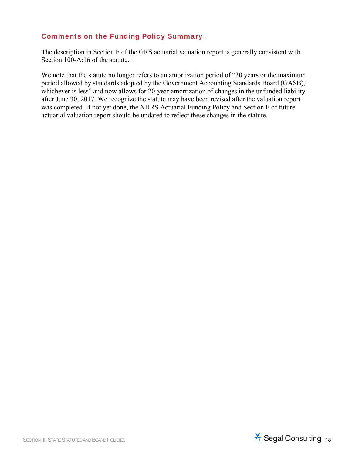#### Comments on the Funding Policy Summary

The description in Section F of the GRS actuarial valuation report is generally consistent with Section 100-A:16 of the statute.

We note that the statute no longer refers to an amortization period of "30 years or the maximum period allowed by standards adopted by the Government Accounting Standards Board (GASB), whichever is less" and now allows for 20-year amortization of changes in the unfunded liability after June 30, 2017. We recognize the statute may have been revised after the valuation report was completed. If not yet done, the NHRS Actuarial Funding Policy and Section F of future actuarial valuation report should be updated to reflect these changes in the statute.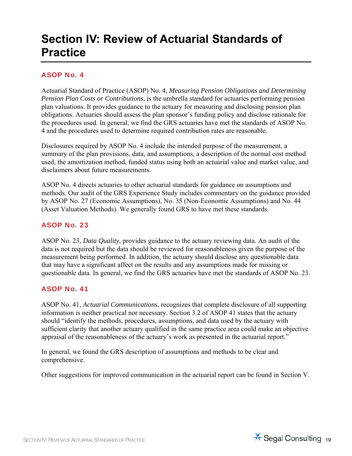## **Section IV: Review of Actuarial Standards of Practice**

#### ASOP No. 4

Actuarial Standard of Practice (ASOP) No. 4, *Measuring Pension Obligations and Determining Pension Plan Costs or Contributions*, is the umbrella standard for actuaries performing pension plan valuations. It provides guidance to the actuary for measuring and disclosing pension plan obligations. Actuaries should assess the plan sponsor's funding policy and disclose rationale for the procedures used. In general, we find the GRS actuaries have met the standards of ASOP No. 4 and the procedures used to determine required contribution rates are reasonable.

Disclosures required by ASOP No. 4 include the intended purpose of the measurement, a summary of the plan provisions, data, and assumptions, a description of the normal cost method used, the amortization method, funded status using both an actuarial value and market value, and disclaimers about future measurements.

ASOP No. 4 directs actuaries to other actuarial standards for guidance on assumptions and methods. Our audit of the GRS Experience Study includes commentary on the guidance provided by ASOP No. 27 (Economic Assumptions), No. 35 (Non-Economic Assumptions) and No. 44 (Asset Valuation Methods). We generally found GRS to have met these standards.

#### ASOP No. 23

ASOP No. 23, *Data Quality*, provides guidance to the actuary reviewing data. An audit of the data is not required but the data should be reviewed for reasonableness given the purpose of the measurement being performed. In addition, the actuary should disclose any questionable data that may have a significant affect on the results and any assumptions made for missing or questionable data. In general, we find the GRS actuaries have met the standards of ASOP No. 23.

#### ASOP No. 41

ASOP No. 41, *Actuarial Communications,* recognizes that complete disclosure of all supporting information is neither practical nor necessary. Section 3.2 of ASOP 41 states that the actuary should "identify the methods, procedures, assumptions, and data used by the actuary with sufficient clarity that another actuary qualified in the same practice area could make an objective appraisal of the reasonableness of the actuary's work as presented in the actuarial report."

In general, we found the GRS description of assumptions and methods to be clear and comprehensive.

Other suggestions for improved communication in the actuarial report can be found in Section V.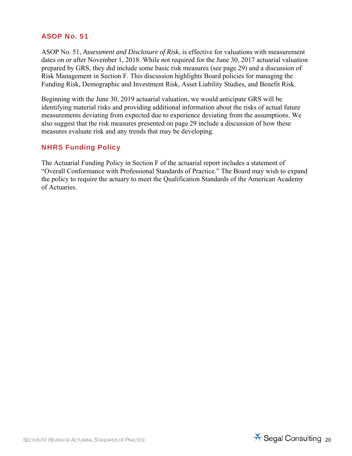#### ASOP No. 51

ASOP No. 51, *Assessment and Disclosure of Risk*, is effective for valuations with measurement dates on or after November 1, 2018. While not required for the June 30, 2017 actuarial valuation prepared by GRS, they did include some basic risk measures (see page 29) and a discussion of Risk Management in Section F. This discussion highlights Board policies for managing the Funding Risk, Demographic and Investment Risk, Asset Liability Studies, and Benefit Risk.

Beginning with the June 30, 2019 actuarial valuation, we would anticipate GRS will be identifying material risks and providing additional information about the risks of actual future measurements deviating from expected due to experience deviating from the assumptions. We also suggest that the risk measures presented on page 29 include a discussion of how these measures evaluate risk and any trends that may be developing.

#### NHRS Funding Policy

The Actuarial Funding Policy in Section F of the actuarial report includes a statement of "Overall Conformance with Professional Standards of Practice." The Board may wish to expand the policy to require the actuary to meet the Qualification Standards of the American Academy of Actuaries.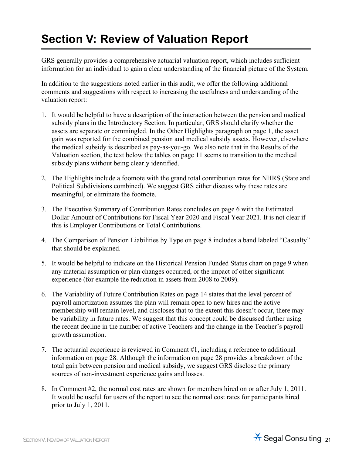## **Section V: Review of Valuation Report**

GRS generally provides a comprehensive actuarial valuation report, which includes sufficient information for an individual to gain a clear understanding of the financial picture of the System.

In addition to the suggestions noted earlier in this audit, we offer the following additional comments and suggestions with respect to increasing the usefulness and understanding of the valuation report:

- 1. It would be helpful to have a description of the interaction between the pension and medical subsidy plans in the Introductory Section. In particular, GRS should clarify whether the assets are separate or commingled. In the Other Highlights paragraph on page 1, the asset gain was reported for the combined pension and medical subsidy assets. However, elsewhere the medical subsidy is described as pay-as-you-go. We also note that in the Results of the Valuation section, the text below the tables on page 11 seems to transition to the medical subsidy plans without being clearly identified.
- 2. The Highlights include a footnote with the grand total contribution rates for NHRS (State and Political Subdivisions combined). We suggest GRS either discuss why these rates are meaningful, or eliminate the footnote.
- 3. The Executive Summary of Contribution Rates concludes on page 6 with the Estimated Dollar Amount of Contributions for Fiscal Year 2020 and Fiscal Year 2021. It is not clear if this is Employer Contributions or Total Contributions.
- 4. The Comparison of Pension Liabilities by Type on page 8 includes a band labeled "Casualty" that should be explained.
- 5. It would be helpful to indicate on the Historical Pension Funded Status chart on page 9 when any material assumption or plan changes occurred, or the impact of other significant experience (for example the reduction in assets from 2008 to 2009).
- 6. The Variability of Future Contribution Rates on page 14 states that the level percent of payroll amortization assumes the plan will remain open to new hires and the active membership will remain level, and discloses that to the extent this doesn't occur, there may be variability in future rates. We suggest that this concept could be discussed further using the recent decline in the number of active Teachers and the change in the Teacher's payroll growth assumption.
- 7. The actuarial experience is reviewed in Comment #1, including a reference to additional information on page 28. Although the information on page 28 provides a breakdown of the total gain between pension and medical subsidy, we suggest GRS disclose the primary sources of non-investment experience gains and losses.
- 8. In Comment #2, the normal cost rates are shown for members hired on or after July 1, 2011. It would be useful for users of the report to see the normal cost rates for participants hired prior to July 1, 2011.

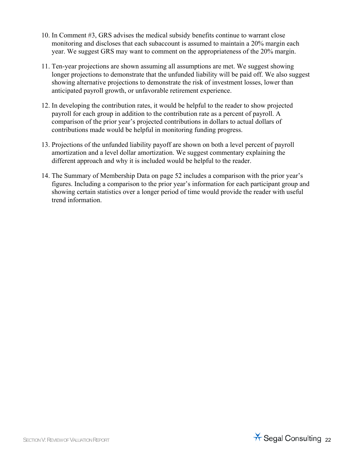- 10. In Comment #3, GRS advises the medical subsidy benefits continue to warrant close monitoring and discloses that each subaccount is assumed to maintain a 20% margin each year. We suggest GRS may want to comment on the appropriateness of the 20% margin.
- 11. Ten-year projections are shown assuming all assumptions are met. We suggest showing longer projections to demonstrate that the unfunded liability will be paid off. We also suggest showing alternative projections to demonstrate the risk of investment losses, lower than anticipated payroll growth, or unfavorable retirement experience.
- 12. In developing the contribution rates, it would be helpful to the reader to show projected payroll for each group in addition to the contribution rate as a percent of payroll. A comparison of the prior year's projected contributions in dollars to actual dollars of contributions made would be helpful in monitoring funding progress.
- 13. Projections of the unfunded liability payoff are shown on both a level percent of payroll amortization and a level dollar amortization. We suggest commentary explaining the different approach and why it is included would be helpful to the reader.
- 14. The Summary of Membership Data on page 52 includes a comparison with the prior year's figures. Including a comparison to the prior year's information for each participant group and showing certain statistics over a longer period of time would provide the reader with useful trend information.